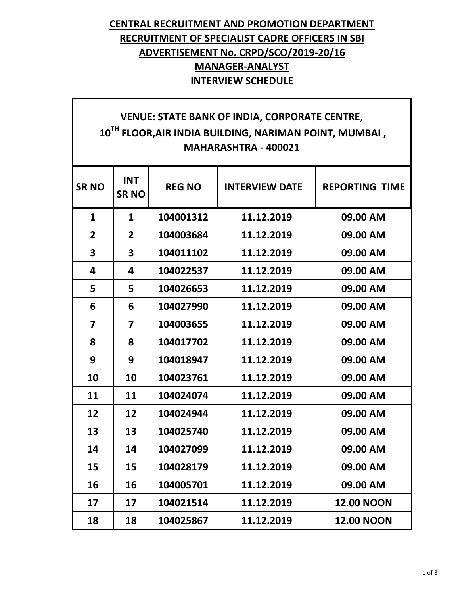### **CENTRAL RECRUITMENT AND PROMOTION DEPARTMENT RECRUITMENT OF SPECIALIST CADRE OFFICERS IN SBI ADVERTISEMENT No. CRPD/SCO/2019-20/16 MANAGER-ANALYST INTERVIEW SCHEDULE**

# **VENUE: STATE BANK OF INDIA, CORPORATE CENTRE, TH FLOOR,AIR INDIA BUILDING, NARIMAN POINT, MUMBAI , MAHARASHTRA - 400021**

| <b>SRNO</b>    | <b>INT</b><br><b>SRNO</b> | <b>REG NO</b> | <b>INTERVIEW DATE</b> | <b>REPORTING TIME</b> |
|----------------|---------------------------|---------------|-----------------------|-----------------------|
| $\mathbf{1}$   | $\mathbf{1}$              | 104001312     | 11.12.2019            | 09.00 AM              |
| $\overline{2}$ | $\overline{2}$            | 104003684     | 11.12.2019            | 09.00 AM              |
| 3              | $\overline{\mathbf{3}}$   | 104011102     | 11.12.2019            | 09.00 AM              |
| 4              | 4                         | 104022537     | 11.12.2019            | 09.00 AM              |
| 5              | 5                         | 104026653     | 11.12.2019            | 09.00 AM              |
| 6              | 6                         | 104027990     | 11.12.2019            | 09.00 AM              |
| 7              | 7                         | 104003655     | 11.12.2019            | 09.00 AM              |
| 8              | 8                         | 104017702     | 11.12.2019            | 09.00 AM              |
| 9              | 9                         | 104018947     | 11.12.2019            | 09.00 AM              |
| 10             | 10                        | 104023761     | 11.12.2019            | 09.00 AM              |
| 11             | 11                        | 104024074     | 11.12.2019            | 09.00 AM              |
| 12             | 12                        | 104024944     | 11.12.2019            | 09.00 AM              |
| 13             | 13                        | 104025740     | 11.12.2019            | 09.00 AM              |
| 14             | 14                        | 104027099     | 11.12.2019            | 09.00 AM              |
| 15             | 15                        | 104028179     | 11.12.2019            | 09.00 AM              |
| 16             | 16                        | 104005701     | 11.12.2019            | 09.00 AM              |
| 17             | 17                        | 104021514     | 11.12.2019            | <b>12.00 NOON</b>     |
| 18             | 18                        | 104025867     | 11.12.2019            | <b>12.00 NOON</b>     |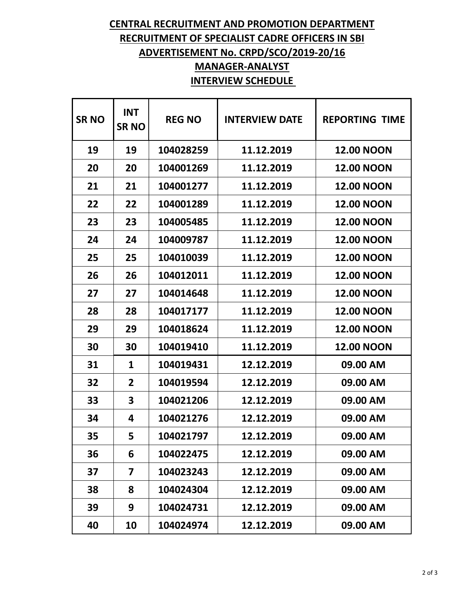# **CENTRAL RECRUITMENT AND PROMOTION DEPARTMENT RECRUITMENT OF SPECIALIST CADRE OFFICERS IN SBI ADVERTISEMENT No. CRPD/SCO/2019-20/16 MANAGER-ANALYST**

#### **INTERVIEW SCHEDULE**

| <b>SRNO</b> | <b>INT</b><br><b>SRNO</b> | <b>REG NO</b> | <b>INTERVIEW DATE</b> | <b>REPORTING TIME</b> |
|-------------|---------------------------|---------------|-----------------------|-----------------------|
| 19          | 19                        | 104028259     | 11.12.2019            | <b>12.00 NOON</b>     |
| 20          | 20                        | 104001269     | 11.12.2019            | <b>12.00 NOON</b>     |
| 21          | 21                        | 104001277     | 11.12.2019            | <b>12.00 NOON</b>     |
| 22          | 22                        | 104001289     | 11.12.2019            | <b>12.00 NOON</b>     |
| 23          | 23                        | 104005485     | 11.12.2019            | <b>12.00 NOON</b>     |
| 24          | 24                        | 104009787     | 11.12.2019            | <b>12.00 NOON</b>     |
| 25          | 25                        | 104010039     | 11.12.2019            | <b>12.00 NOON</b>     |
| 26          | 26                        | 104012011     | 11.12.2019            | <b>12.00 NOON</b>     |
| 27          | 27                        | 104014648     | 11.12.2019            | <b>12.00 NOON</b>     |
| 28          | 28                        | 104017177     | 11.12.2019            | <b>12.00 NOON</b>     |
| 29          | 29                        | 104018624     | 11.12.2019            | <b>12.00 NOON</b>     |
| 30          | 30                        | 104019410     | 11.12.2019            | <b>12.00 NOON</b>     |
| 31          | 1                         | 104019431     | 12.12.2019            | 09.00 AM              |
| 32          | 2                         | 104019594     | 12.12.2019            | 09.00 AM              |
| 33          | 3                         | 104021206     | 12.12.2019            | 09.00 AM              |
| 34          | 4                         | 104021276     | 12.12.2019            | 09.00 AM              |
| 35          | 5                         | 104021797     | 12.12.2019            | 09.00 AM              |
| 36          | 6                         | 104022475     | 12.12.2019            | 09.00 AM              |
| 37          | 7                         | 104023243     | 12.12.2019            | 09.00 AM              |
| 38          | 8                         | 104024304     | 12.12.2019            | 09.00 AM              |
| 39          | 9                         | 104024731     | 12.12.2019            | 09.00 AM              |
| 40          | 10                        | 104024974     | 12.12.2019            | 09.00 AM              |